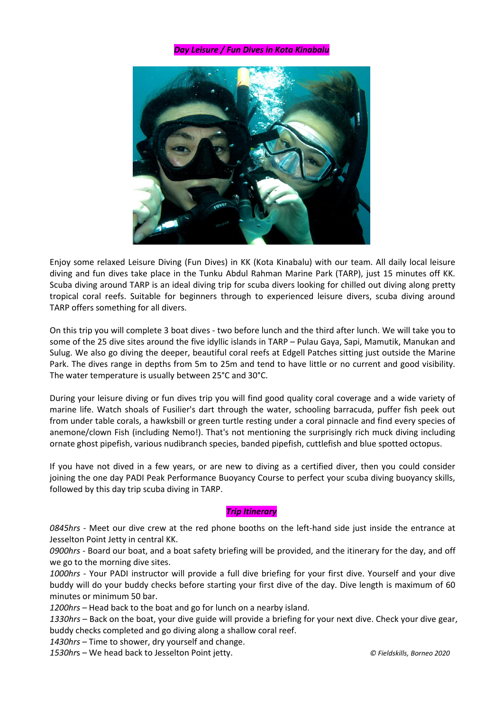## *Day Leisure / Fun Dives in Kota Kinabalu*



Enjoy some relaxed Leisure Diving (Fun Dives) in KK (Kota Kinabalu) with our team. All daily local leisure diving and fun dives take place in the Tunku Abdul Rahman Marine Park (TARP), just 15 minutes off KK. Scuba diving around TARP is an ideal diving trip for scuba divers looking for chilled out diving along pretty tropical coral reefs. Suitable for beginners through to experienced leisure divers, scuba diving around TARP offers something for all divers.

On this trip you will complete 3 boat dives - two before lunch and the third after lunch. We will take you to some of the 25 dive sites around the five idyllic islands in TARP – Pulau Gaya, Sapi, Mamutik, Manukan and Sulug. We also go diving the deeper, beautiful coral reefs at Edgell Patches sitting just outside the Marine Park. The dives range in depths from 5m to 25m and tend tohave little or no current and good visibility. The water temperature is usually between 25°C and 30°C.

During your leisure diving or fun dives trip you will find good quality coral coverage and a wide variety of marine life. Watch shoals of Fusilier's dart through the water, schooling barracuda, puffer fish peek out from under table corals, a hawksbill or green turtle resting under a coral pinnacle and find every species of anemone/clown Fish (including Nemo!). That's not mentioning the surprisingly rich muck diving including ornate ghost pipefish, various nudibranch species, banded pipefish, cuttlefish and blue spotted octopus.

If you have not dived in a few years, or are new to diving as a certified diver, then you could consider joining the one day PADI Peak [Performance](https://www.borneodream.com/diveshop/padi-peak-performance-buoyancy-ppb-diver-speciality-course-kota-kinabalu-sabah.html) Buoyancy Course to perfect your scuba diving buoyancy skills, followed by this day trip scuba diving in TARP.

# *Trip Itinerary*

*0845hrs* - Meet our dive crew at the red phone booths on the left-hand side just inside the entrance at Jesselton Point Jetty in central KK.

*0900hrs -* Board our boat, and a boat safety briefing will be provided, and the itinerary for the day, and off we go to the morning dive sites.

*1000hrs* - Your PADI instructor will provide a full dive briefing for your first dive. Yourself and your dive buddy will do your buddy checks before starting your first dive of the day. Dive length is maximum of 60 minutes or minimum 50 bar.

*1200hrs* – Head back to the boatand go for lunch on a nearby island.

*1330hrs* – Back on the boat, your dive guide will provide a briefing for your next dive. Check your dive gear, buddy checks completed and go diving along a shallow coral reef.

*1430hrs* – Time to shower, dry yourself and change.

*1530hr*s – We head back to Jesselton Point jetty. *© Fieldskills, Borneo 2020*